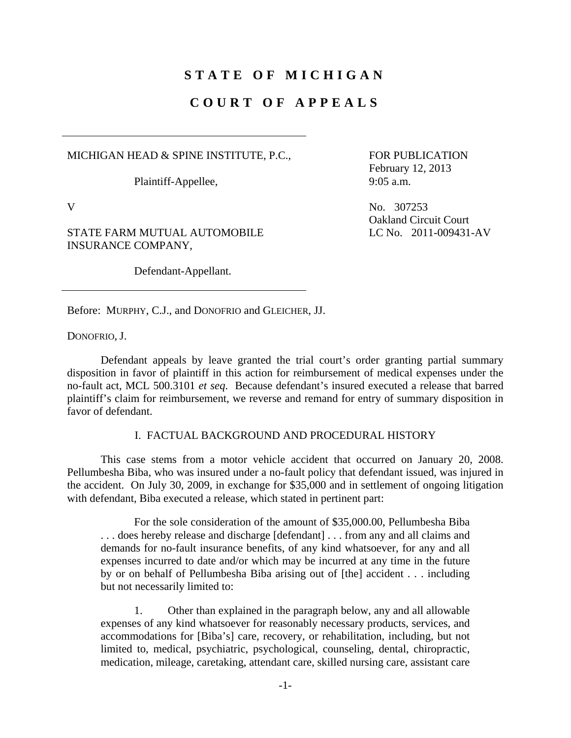# **STATE OF MICHIGAN**

## **COURT OF APPEALS**

MICHIGAN HEAD & SPINE INSTITUTE, P.C.,

Plaintiff-Appellee,

STATE FARM MUTUAL AUTOMOBILE INSURANCE COMPANY,

Defendant-Appellant.

FOR PUBLICATION February 12, 2013 9:05 a.m.

V No. 307253 Oakland Circuit Court LC No. 2011-009431-AV

Before: MURPHY, C.J., and DONOFRIO and GLEICHER, JJ.

DONOFRIO, J.

 Defendant appeals by leave granted the trial court's order granting partial summary disposition in favor of plaintiff in this action for reimbursement of medical expenses under the no-fault act, MCL 500.3101 *et seq*. Because defendant's insured executed a release that barred plaintiff's claim for reimbursement, we reverse and remand for entry of summary disposition in favor of defendant.

## I. FACTUAL BACKGROUND AND PROCEDURAL HISTORY

 This case stems from a motor vehicle accident that occurred on January 20, 2008. Pellumbesha Biba, who was insured under a no-fault policy that defendant issued, was injured in the accident. On July 30, 2009, in exchange for \$35,000 and in settlement of ongoing litigation with defendant, Biba executed a release, which stated in pertinent part:

 For the sole consideration of the amount of \$35,000.00, Pellumbesha Biba . . . does hereby release and discharge [defendant] . . . from any and all claims and demands for no-fault insurance benefits, of any kind whatsoever, for any and all expenses incurred to date and/or which may be incurred at any time in the future by or on behalf of Pellumbesha Biba arising out of [the] accident . . . including but not necessarily limited to:

 1. Other than explained in the paragraph below, any and all allowable expenses of any kind whatsoever for reasonably necessary products, services, and accommodations for [Biba's] care, recovery, or rehabilitation, including, but not limited to, medical, psychiatric, psychological, counseling, dental, chiropractic, medication, mileage, caretaking, attendant care, skilled nursing care, assistant care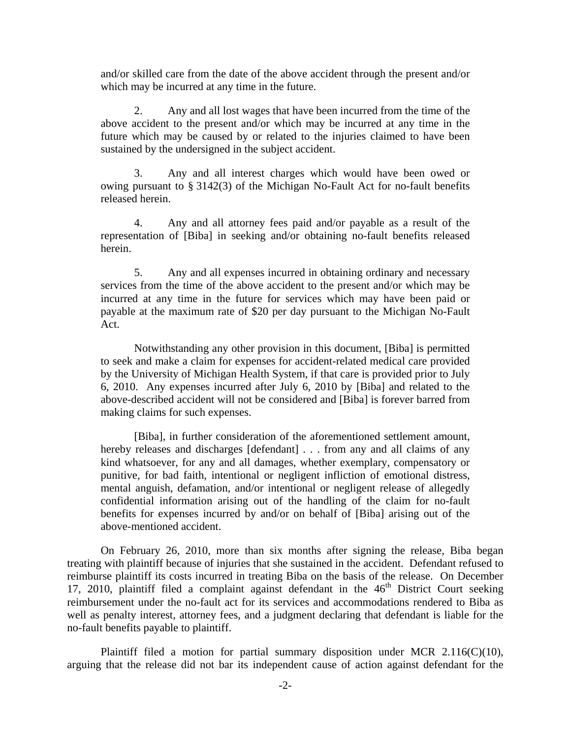and/or skilled care from the date of the above accident through the present and/or which may be incurred at any time in the future.

 2. Any and all lost wages that have been incurred from the time of the above accident to the present and/or which may be incurred at any time in the future which may be caused by or related to the injuries claimed to have been sustained by the undersigned in the subject accident.

 3. Any and all interest charges which would have been owed or owing pursuant to § 3142(3) of the Michigan No-Fault Act for no-fault benefits released herein.

 4. Any and all attorney fees paid and/or payable as a result of the representation of [Biba] in seeking and/or obtaining no-fault benefits released herein.

 5. Any and all expenses incurred in obtaining ordinary and necessary services from the time of the above accident to the present and/or which may be incurred at any time in the future for services which may have been paid or payable at the maximum rate of \$20 per day pursuant to the Michigan No-Fault Act.

 Notwithstanding any other provision in this document, [Biba] is permitted to seek and make a claim for expenses for accident-related medical care provided by the University of Michigan Health System, if that care is provided prior to July 6, 2010. Any expenses incurred after July 6, 2010 by [Biba] and related to the above-described accident will not be considered and [Biba] is forever barred from making claims for such expenses.

 [Biba], in further consideration of the aforementioned settlement amount, hereby releases and discharges [defendant] . . . from any and all claims of any kind whatsoever, for any and all damages, whether exemplary, compensatory or punitive, for bad faith, intentional or negligent infliction of emotional distress, mental anguish, defamation, and/or intentional or negligent release of allegedly confidential information arising out of the handling of the claim for no-fault benefits for expenses incurred by and/or on behalf of [Biba] arising out of the above-mentioned accident.

 On February 26, 2010, more than six months after signing the release, Biba began treating with plaintiff because of injuries that she sustained in the accident. Defendant refused to reimburse plaintiff its costs incurred in treating Biba on the basis of the release. On December 17, 2010, plaintiff filed a complaint against defendant in the 46<sup>th</sup> District Court seeking reimbursement under the no-fault act for its services and accommodations rendered to Biba as well as penalty interest, attorney fees, and a judgment declaring that defendant is liable for the no-fault benefits payable to plaintiff.

Plaintiff filed a motion for partial summary disposition under MCR  $2.116(C)(10)$ , arguing that the release did not bar its independent cause of action against defendant for the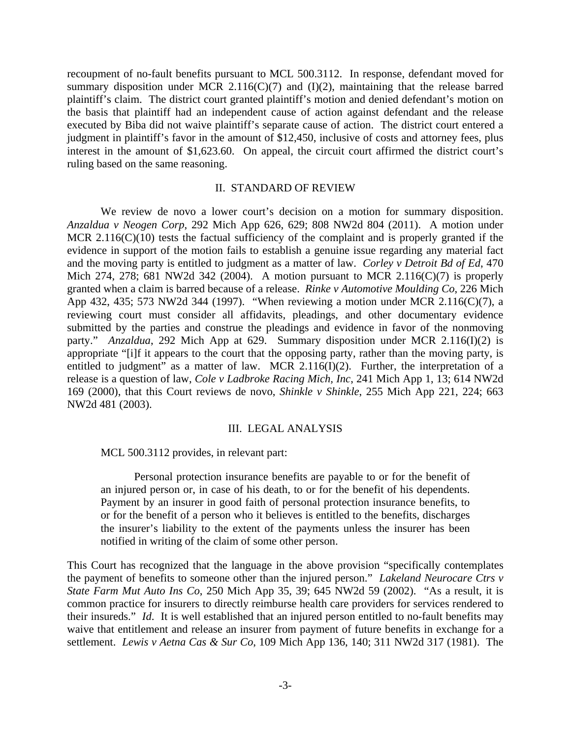recoupment of no-fault benefits pursuant to MCL 500.3112. In response, defendant moved for summary disposition under MCR 2.116( $C(7)$ ) and (I)(2), maintaining that the release barred plaintiff's claim. The district court granted plaintiff's motion and denied defendant's motion on the basis that plaintiff had an independent cause of action against defendant and the release executed by Biba did not waive plaintiff's separate cause of action. The district court entered a judgment in plaintiff's favor in the amount of \$12,450, inclusive of costs and attorney fees, plus interest in the amount of \$1,623.60. On appeal, the circuit court affirmed the district court's ruling based on the same reasoning.

### II. STANDARD OF REVIEW

 We review de novo a lower court's decision on a motion for summary disposition. *Anzaldua v Neogen Corp*, 292 Mich App 626, 629; 808 NW2d 804 (2011). A motion under MCR  $2.116(C)(10)$  tests the factual sufficiency of the complaint and is properly granted if the evidence in support of the motion fails to establish a genuine issue regarding any material fact and the moving party is entitled to judgment as a matter of law. *Corley v Detroit Bd of Ed*, 470 Mich 274, 278; 681 NW2d 342 (2004). A motion pursuant to MCR 2.116(C)(7) is properly granted when a claim is barred because of a release. *Rinke v Automotive Moulding Co*, 226 Mich App 432, 435; 573 NW2d 344 (1997). "When reviewing a motion under MCR 2.116(C)(7), a reviewing court must consider all affidavits, pleadings, and other documentary evidence submitted by the parties and construe the pleadings and evidence in favor of the nonmoving party." *Anzaldua*, 292 Mich App at 629. Summary disposition under MCR 2.116(I)(2) is appropriate "[i]f it appears to the court that the opposing party, rather than the moving party, is entitled to judgment" as a matter of law. MCR 2.116(I)(2). Further, the interpretation of a release is a question of law, *Cole v Ladbroke Racing Mich, Inc*, 241 Mich App 1, 13; 614 NW2d 169 (2000), that this Court reviews de novo, *Shinkle v Shinkle*, 255 Mich App 221, 224; 663 NW2d 481 (2003).

### III. LEGAL ANALYSIS

MCL 500.3112 provides, in relevant part:

 Personal protection insurance benefits are payable to or for the benefit of an injured person or, in case of his death, to or for the benefit of his dependents. Payment by an insurer in good faith of personal protection insurance benefits, to or for the benefit of a person who it believes is entitled to the benefits, discharges the insurer's liability to the extent of the payments unless the insurer has been notified in writing of the claim of some other person.

This Court has recognized that the language in the above provision "specifically contemplates the payment of benefits to someone other than the injured person." *Lakeland Neurocare Ctrs v State Farm Mut Auto Ins Co*, 250 Mich App 35, 39; 645 NW2d 59 (2002). "As a result, it is common practice for insurers to directly reimburse health care providers for services rendered to their insureds." *Id*. It is well established that an injured person entitled to no-fault benefits may waive that entitlement and release an insurer from payment of future benefits in exchange for a settlement. *Lewis v Aetna Cas & Sur Co*, 109 Mich App 136, 140; 311 NW2d 317 (1981). The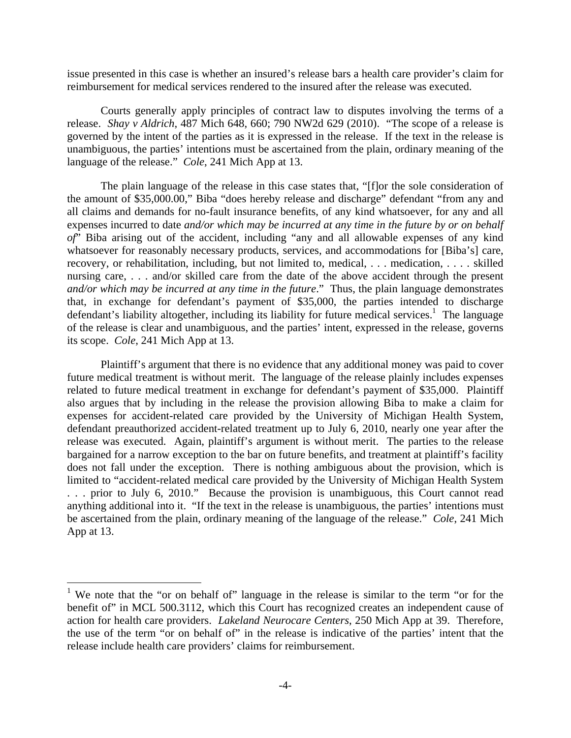issue presented in this case is whether an insured's release bars a health care provider's claim for reimbursement for medical services rendered to the insured after the release was executed.

 Courts generally apply principles of contract law to disputes involving the terms of a release. *Shay v Aldrich*, 487 Mich 648, 660; 790 NW2d 629 (2010). "The scope of a release is governed by the intent of the parties as it is expressed in the release. If the text in the release is unambiguous, the parties' intentions must be ascertained from the plain, ordinary meaning of the language of the release." *Cole*, 241 Mich App at 13.

 The plain language of the release in this case states that, "[f]or the sole consideration of the amount of \$35,000.00," Biba "does hereby release and discharge" defendant "from any and all claims and demands for no-fault insurance benefits, of any kind whatsoever, for any and all expenses incurred to date *and/or which may be incurred at any time in the future by or on behalf of*" Biba arising out of the accident, including "any and all allowable expenses of any kind whatsoever for reasonably necessary products, services, and accommodations for [Biba's] care, recovery, or rehabilitation, including, but not limited to, medical, . . . medication, . . . . skilled nursing care, . . . and/or skilled care from the date of the above accident through the present *and/or which may be incurred at any time in the future*." Thus, the plain language demonstrates that, in exchange for defendant's payment of \$35,000, the parties intended to discharge defendant's liability altogether, including its liability for future medical services.<sup>1</sup> The language of the release is clear and unambiguous, and the parties' intent, expressed in the release, governs its scope. *Cole*, 241 Mich App at 13.

 Plaintiff's argument that there is no evidence that any additional money was paid to cover future medical treatment is without merit. The language of the release plainly includes expenses related to future medical treatment in exchange for defendant's payment of \$35,000. Plaintiff also argues that by including in the release the provision allowing Biba to make a claim for expenses for accident-related care provided by the University of Michigan Health System, defendant preauthorized accident-related treatment up to July 6, 2010, nearly one year after the release was executed. Again, plaintiff's argument is without merit. The parties to the release bargained for a narrow exception to the bar on future benefits, and treatment at plaintiff's facility does not fall under the exception. There is nothing ambiguous about the provision, which is limited to "accident-related medical care provided by the University of Michigan Health System . . . prior to July 6, 2010." Because the provision is unambiguous, this Court cannot read anything additional into it. "If the text in the release is unambiguous, the parties' intentions must be ascertained from the plain, ordinary meaning of the language of the release." *Cole*, 241 Mich App at 13.

<u>.</u>

<sup>&</sup>lt;sup>1</sup> We note that the "or on behalf of" language in the release is similar to the term "or for the benefit of" in MCL 500.3112, which this Court has recognized creates an independent cause of action for health care providers. *Lakeland Neurocare Centers*, 250 Mich App at 39. Therefore, the use of the term "or on behalf of" in the release is indicative of the parties' intent that the release include health care providers' claims for reimbursement.